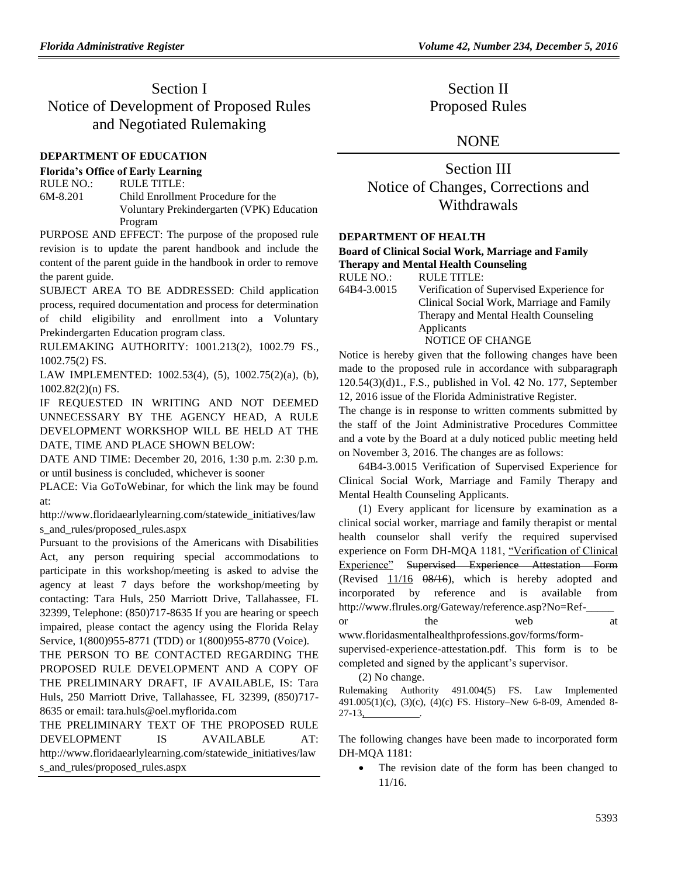# Section I Notice of Development of Proposed Rules and Negotiated Rulemaking

### **[DEPARTMENT OF EDUCATION](https://www.flrules.org/gateway/department.asp?id=6)**

#### **[Florida's Office of Early Learning](https://www.flrules.org/gateway/organization.asp?id=1044)**

RULE NO.: RULE TITLE: [6M-8.201](https://www.flrules.org/gateway/ruleNo.asp?id=6M-8.201) Child Enrollment Procedure for the Voluntary Prekindergarten (VPK) Education Program

PURPOSE AND EFFECT: The purpose of the proposed rule revision is to update the parent handbook and include the content of the parent guide in the handbook in order to remove the parent guide.

SUBJECT AREA TO BE ADDRESSED: Child application process, required documentation and process for determination of child eligibility and enrollment into a Voluntary Prekindergarten Education program class.

RULEMAKING AUTHORITY: [1001.213\(2\),](https://www.flrules.org/gateway/statute.asp?id=1001.213(2)) [1002.79 FS.,](https://www.flrules.org/gateway/statute.asp?id=%201002.79%20FS.) [1002.75\(2\) FS.](https://www.flrules.org/gateway/statute.asp?id=%201002.75(2)%20FS.)

LAW IMPLEMENTED: [1002.53\(4\),](https://www.flrules.org/gateway/statute.asp?id=1002.53(4)) (5), [1002.75\(2\)\(a\),](https://www.flrules.org/gateway/statute.asp?id=%201002.75(2)(a)) (b), [1002.82\(2\)\(n\) FS.](https://www.flrules.org/gateway/statute.asp?id=%201002.82(2)(n)%20FS.)

IF REQUESTED IN WRITING AND NOT DEEMED UNNECESSARY BY THE AGENCY HEAD, A RULE DEVELOPMENT WORKSHOP WILL BE HELD AT THE DATE, TIME AND PLACE SHOWN BELOW:

DATE AND TIME: December 20, 2016, 1:30 p.m. 2:30 p.m. or until business is concluded, whichever is sooner

PLACE: Via GoToWebinar, for which the link may be found at:

http://www.floridaearlylearning.com/statewide\_initiatives/law s\_and\_rules/proposed\_rules.aspx

Pursuant to the provisions of the Americans with Disabilities Act, any person requiring special accommodations to participate in this workshop/meeting is asked to advise the agency at least 7 days before the workshop/meeting by contacting: Tara Huls, 250 Marriott Drive, Tallahassee, FL 32399, Telephone: (850)717-8635 If you are hearing or speech impaired, please contact the agency using the Florida Relay Service, 1(800)955-8771 (TDD) or 1(800)955-8770 (Voice).

THE PERSON TO BE CONTACTED REGARDING THE PROPOSED RULE DEVELOPMENT AND A COPY OF THE PRELIMINARY DRAFT, IF AVAILABLE, IS: Tara Huls, 250 Marriott Drive, Tallahassee, FL 32399, (850)717- 8635 or email: tara.huls@oel.myflorida.com

THE PRELIMINARY TEXT OF THE PROPOSED RULE DEVELOPMENT IS AVAILABLE AT: [http://www.floridaearlylearning.com/statewide\\_initiatives/law](http://www.floridaearlylearning.com/statewide_initiatives/laws_and_rules/proposed_rules.aspx) [s\\_and\\_rules/proposed\\_rules.aspx](http://www.floridaearlylearning.com/statewide_initiatives/laws_and_rules/proposed_rules.aspx)

Section II Proposed Rules

### **NONE**

Section III Notice of Changes, Corrections and **Withdrawals** 

#### **[DEPARTMENT OF HEALTH](https://www.flrules.org/gateway/department.asp?id=64)**

### **[Board of Clinical Social Work, Marriage and Family](https://www.flrules.org/gateway/organization.asp?id=327)  [Therapy and Mental Health Counseling](https://www.flrules.org/gateway/organization.asp?id=327)**

| <b>RULE NO.:</b> | <b>RULE TITLE:</b>                        |
|------------------|-------------------------------------------|
| 64B4-3.0015      | Verification of Supervised Experience for |
|                  | Clinical Social Work, Marriage and Family |
|                  | Therapy and Mental Health Counseling      |
|                  | Applicants                                |
|                  | NOTICE OF CHANGE                          |

Notice is hereby given that the following changes have been made to the proposed rule in accordance with subparagraph 120.54(3)(d)1., F.S., published in Vol. 42 No. 177, September 12, 2016 issue of the Florida Administrative Register.

The change is in response to written comments submitted by the staff of the Joint Administrative Procedures Committee and a vote by the Board at a duly noticed public meeting held on November 3, 2016. The changes are as follows:

64B4-3.0015 Verification of Supervised Experience for Clinical Social Work, Marriage and Family Therapy and Mental Health Counseling Applicants.

(1) Every applicant for licensure by examination as a clinical social worker, marriage and family therapist or mental health counselor shall verify the required supervised experience on Form DH-MQA 1181, "Verification of Clinical Experience" Supervised Experience Attestation Form (Revised  $11/16$   $08/16$ ), which is hereby adopted and incorporated by reference and is available from http://www.flrules.org/Gateway/reference.asp?No=Refor the web at www.floridasmentalhealthprofessions.gov/forms/formsupervised-experience-attestation.pdf. This form is to be

completed and signed by the applicant's supervisor.

(2) No change.

Rulemaking Authority 491.004(5) FS. Law Implemented 491.005(1)(c), (3)(c), (4)(c) FS. History–New 6-8-09, Amended 8-  $27-13$ ,

The following changes have been made to incorporated form DH-MQA 1181:

• The revision date of the form has been changed to 11/16.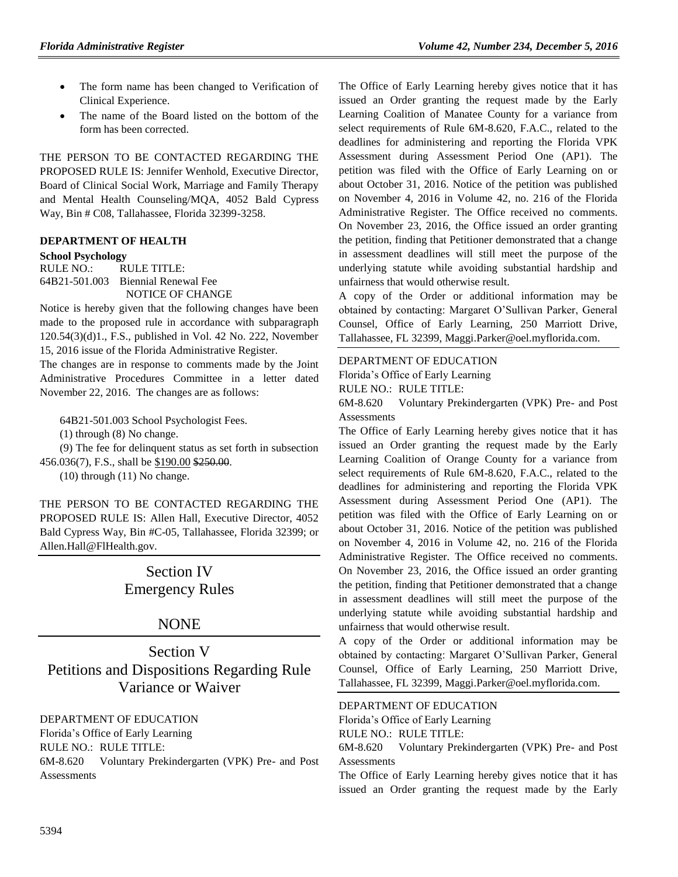- The form name has been changed to Verification of Clinical Experience.
- The name of the Board listed on the bottom of the form has been corrected.

THE PERSON TO BE CONTACTED REGARDING THE PROPOSED RULE IS: Jennifer Wenhold, Executive Director, Board of Clinical Social Work, Marriage and Family Therapy and Mental Health Counseling/MQA, 4052 Bald Cypress Way, Bin # C08, Tallahassee, Florida 32399-3258.

### **[DEPARTMENT OF HEALTH](https://www.flrules.org/gateway/department.asp?id=64)**

#### **[School Psychology](https://www.flrules.org/gateway/organization.asp?id=313)**

RULE NO.: RULE TITLE: [64B21-501.003](https://www.flrules.org/gateway/ruleNo.asp?id=64B21-501.003) Biennial Renewal Fee NOTICE OF CHANGE

Notice is hereby given that the following changes have been made to the proposed rule in accordance with subparagraph 120.54(3)(d)1., F.S., published in Vol. 42 No. 222, November 15, 2016 issue of the Florida Administrative Register.

The changes are in response to comments made by the Joint Administrative Procedures Committee in a letter dated November 22, 2016. The changes are as follows:

64B21-501.003 School Psychologist Fees.

(1) through (8) No change.

(9) The fee for delinquent status as set forth in subsection 456.036(7), F.S., shall be \$190.00 \$250.00.

(10) through (11) No change.

THE PERSON TO BE CONTACTED REGARDING THE PROPOSED RULE IS: Allen Hall, Executive Director, 4052 Bald Cypress Way, Bin #C-05, Tallahassee, Florida 32399; or Allen.Hall@FlHealth.gov.

# Section IV Emergency Rules

### NONE

Section V Petitions and Dispositions Regarding Rule Variance or Waiver

### [DEPARTMENT OF EDUCATION](https://www.flrules.org/gateway/department.asp?id=6)

[Florida's Office of Early Learning](https://www.flrules.org/gateway/organization.asp?id=1044) RULE NO.: RULE TITLE: [6M-8.620](https://www.flrules.org/gateway/ruleNo.asp?id=6M-8.620) Voluntary Prekindergarten (VPK) Pre- and Post **Assessments** 

The Office of Early Learning hereby gives notice that it has issued an Order granting the request made by the Early Learning Coalition of Manatee County for a variance from select requirements of Rule 6M-8.620, F.A.C., related to the deadlines for administering and reporting the Florida VPK Assessment during Assessment Period One (AP1). The petition was filed with the Office of Early Learning on or about October 31, 2016. Notice of the petition was published on November 4, 2016 in Volume 42, no. 216 of the Florida Administrative Register. The Office received no comments. On November 23, 2016, the Office issued an order granting the petition, finding that Petitioner demonstrated that a change in assessment deadlines will still meet the purpose of the underlying statute while avoiding substantial hardship and unfairness that would otherwise result.

A copy of the Order or additional information may be obtained by contacting: Margaret O'Sullivan Parker, General Counsel, Office of Early Learning, 250 Marriott Drive, Tallahassee, FL 32399, [Maggi.Parker@oel.myflorida.com.](mailto:Maggi.Parker@oel.myflorida.com)

### [DEPARTMENT OF EDUCATION](https://www.flrules.org/gateway/department.asp?id=6)

[Florida's Office of Early Learning](https://www.flrules.org/gateway/organization.asp?id=1044)

RULE NO.: RULE TITLE:

[6M-8.620](https://www.flrules.org/gateway/ruleNo.asp?id=6M-8.620) Voluntary Prekindergarten (VPK) Pre- and Post **Assessments** 

The Office of Early Learning hereby gives notice that it has issued an Order granting the request made by the Early Learning Coalition of Orange County for a variance from select requirements of Rule 6M-8.620, F.A.C., related to the deadlines for administering and reporting the Florida VPK Assessment during Assessment Period One (AP1). The petition was filed with the Office of Early Learning on or about October 31, 2016. Notice of the petition was published on November 4, 2016 in Volume 42, no. 216 of the Florida Administrative Register. The Office received no comments. On November 23, 2016, the Office issued an order granting the petition, finding that Petitioner demonstrated that a change in assessment deadlines will still meet the purpose of the underlying statute while avoiding substantial hardship and unfairness that would otherwise result.

A copy of the Order or additional information may be obtained by contacting: Margaret O'Sullivan Parker, General Counsel, Office of Early Learning, 250 Marriott Drive, Tallahassee, FL 32399, [Maggi.Parker@oel.myflorida.com.](mailto:Maggi.Parker@oel.myflorida.com)

#### [DEPARTMENT OF EDUCATION](https://www.flrules.org/gateway/department.asp?id=6)

[Florida's Office of Early Learning](https://www.flrules.org/gateway/organization.asp?id=1044)

RULE NO.: RULE TITLE:

[6M-8.620](https://www.flrules.org/gateway/ruleNo.asp?id=6M-8.620) Voluntary Prekindergarten (VPK) Pre- and Post **Assessments** 

The Office of Early Learning hereby gives notice that it has issued an Order granting the request made by the Early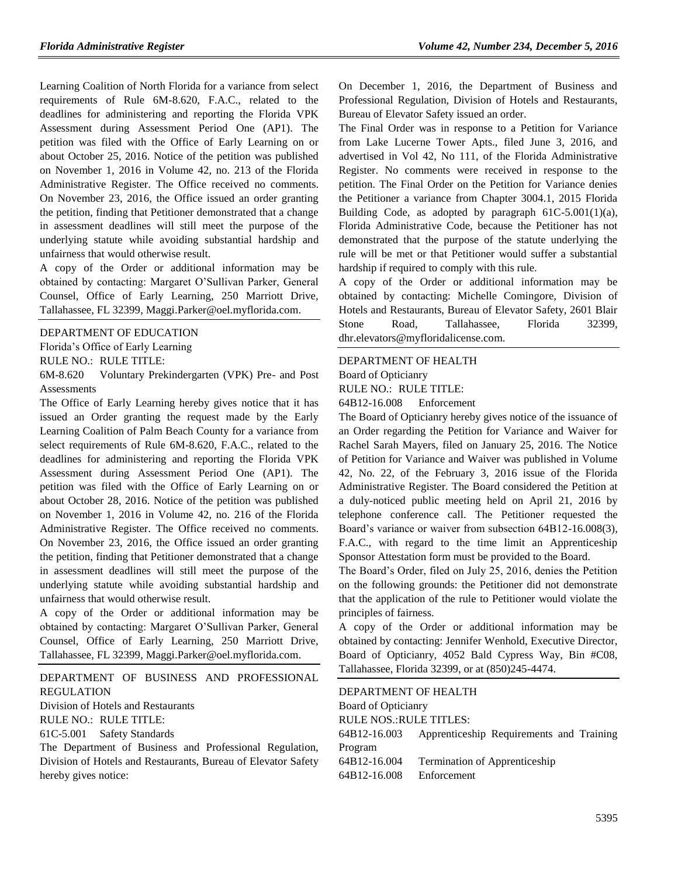Learning Coalition of North Florida for a variance from select requirements of Rule 6M-8.620, F.A.C., related to the deadlines for administering and reporting the Florida VPK Assessment during Assessment Period One (AP1). The petition was filed with the Office of Early Learning on or about October 25, 2016. Notice of the petition was published on November 1, 2016 in Volume 42, no. 213 of the Florida Administrative Register. The Office received no comments. On November 23, 2016, the Office issued an order granting the petition, finding that Petitioner demonstrated that a change in assessment deadlines will still meet the purpose of the underlying statute while avoiding substantial hardship and unfairness that would otherwise result.

A copy of the Order or additional information may be obtained by contacting: Margaret O'Sullivan Parker, General Counsel, Office of Early Learning, 250 Marriott Drive, Tallahassee, FL 32399, [Maggi.Parker@oel.myflorida.com.](mailto:Maggi.Parker@oel.myflorida.com)

### [DEPARTMENT OF EDUCATION](https://www.flrules.org/gateway/department.asp?id=6)

[Florida's Office of Early Learning](https://www.flrules.org/gateway/organization.asp?id=1044)

RULE NO.: RULE TITLE:

[6M-8.620](https://www.flrules.org/gateway/ruleNo.asp?id=6M-8.620) Voluntary Prekindergarten (VPK) Pre- and Post **Assessments** 

The Office of Early Learning hereby gives notice that it has issued an Order granting the request made by the Early Learning Coalition of Palm Beach County for a variance from select requirements of Rule 6M-8.620, F.A.C., related to the deadlines for administering and reporting the Florida VPK Assessment during Assessment Period One (AP1). The petition was filed with the Office of Early Learning on or about October 28, 2016. Notice of the petition was published on November 1, 2016 in Volume 42, no. 216 of the Florida Administrative Register. The Office received no comments. On November 23, 2016, the Office issued an order granting the petition, finding that Petitioner demonstrated that a change in assessment deadlines will still meet the purpose of the underlying statute while avoiding substantial hardship and unfairness that would otherwise result.

A copy of the Order or additional information may be obtained by contacting: Margaret O'Sullivan Parker, General Counsel, Office of Early Learning, 250 Marriott Drive, Tallahassee, FL 32399, [Maggi.Parker@oel.myflorida.com.](mailto:Maggi.Parker@oel.myflorida.com)

[DEPARTMENT OF BUSINESS AND PROFESSIONAL](https://www.flrules.org/gateway/department.asp?id=61)  [REGULATION](https://www.flrules.org/gateway/department.asp?id=61)

[Division of Hotels and Restaurants](https://www.flrules.org/gateway/organization.asp?id=249)

RULE NO.: RULE TITLE:

[61C-5.001](https://www.flrules.org/gateway/ruleNo.asp?id=61C-5.001) Safety Standards

The Department of Business and Professional Regulation, Division of Hotels and Restaurants, Bureau of Elevator Safety hereby gives notice:

On December 1, 2016, the Department of Business and Professional Regulation, Division of Hotels and Restaurants, Bureau of Elevator Safety issued an order.

The Final Order was in response to a Petition for Variance from Lake Lucerne Tower Apts., filed June 3, 2016, and advertised in Vol 42, No 111, of the Florida Administrative Register. No comments were received in response to the petition. The Final Order on the Petition for Variance denies the Petitioner a variance from Chapter 3004.1, 2015 Florida Building Code, as adopted by paragraph  $61C-5.001(1)(a)$ , Florida Administrative Code, because the Petitioner has not demonstrated that the purpose of the statute underlying the rule will be met or that Petitioner would suffer a substantial hardship if required to comply with this rule.

A copy of the Order or additional information may be obtained by contacting: Michelle Comingore, Division of Hotels and Restaurants, Bureau of Elevator Safety, 2601 Blair Stone Road, Tallahassee, Florida 32399, [dhr.elevators@myfloridalicense.com.](mailto:dhr.elevators@myfloridalicense.com)

### [DEPARTMENT OF HEALTH](https://www.flrules.org/gateway/department.asp?id=64)

[Board of Opticianry](https://www.flrules.org/gateway/organization.asp?id=303)

RULE NO.: RULE TITLE:

[64B12-16.008](https://www.flrules.org/gateway/ruleNo.asp?id=64B12-16.008) Enforcement

The Board of Opticianry hereby gives notice of the issuance of an Order regarding the Petition for Variance and Waiver for Rachel Sarah Mayers, filed on January 25, 2016. The Notice of Petition for Variance and Waiver was published in Volume 42, No. 22, of the February 3, 2016 issue of the Florida Administrative Register. The Board considered the Petition at a duly-noticed public meeting held on April 21, 2016 by telephone conference call. The Petitioner requested the Board's variance or waiver from subsection 64B12-16.008(3), F.A.C., with regard to the time limit an Apprenticeship Sponsor Attestation form must be provided to the Board.

The Board's Order, filed on July 25, 2016, denies the Petition on the following grounds: the Petitioner did not demonstrate that the application of the rule to Petitioner would violate the principles of fairness.

A copy of the Order or additional information may be obtained by contacting: Jennifer Wenhold, Executive Director, Board of Opticianry, 4052 Bald Cypress Way, Bin #C08, Tallahassee, Florida 32399, or at (850)245-4474.

| DEPARTMENT OF HEALTH           |                                          |  |
|--------------------------------|------------------------------------------|--|
| Board of Opticianry            |                                          |  |
| <b>RULE NOS.: RULE TITLES:</b> |                                          |  |
| 64B12-16.003                   | Apprenticeship Requirements and Training |  |
| Program                        |                                          |  |
| 64B12-16.004                   | <b>Termination of Apprenticeship</b>     |  |
| 64B12-16.008                   | Enforcement                              |  |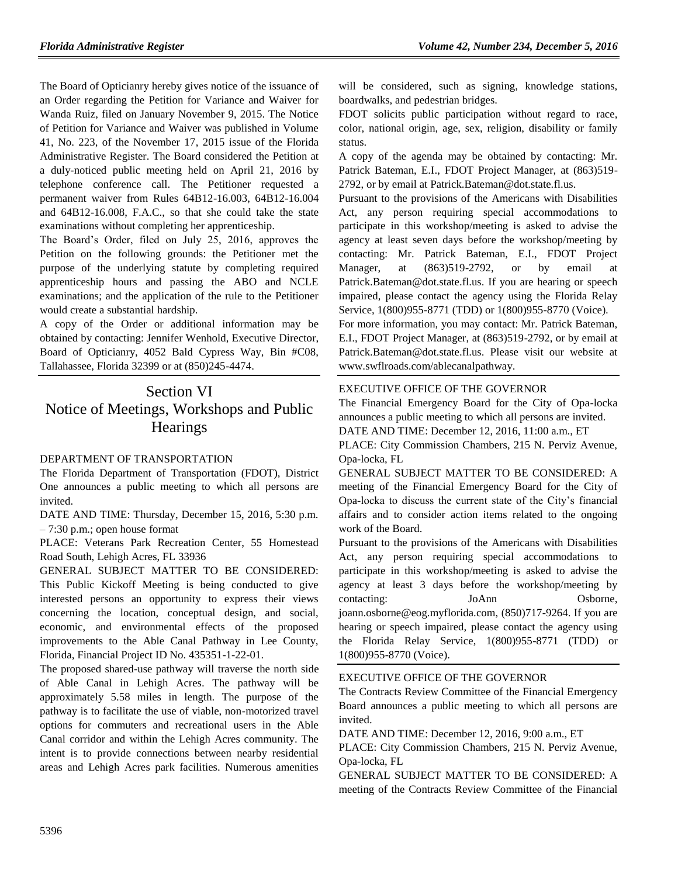The Board of Opticianry hereby gives notice of the issuance of an Order regarding the Petition for Variance and Waiver for Wanda Ruiz, filed on January November 9, 2015. The Notice of Petition for Variance and Waiver was published in Volume 41, No. 223, of the November 17, 2015 issue of the Florida Administrative Register. The Board considered the Petition at a duly-noticed public meeting held on April 21, 2016 by telephone conference call. The Petitioner requested a permanent waiver from Rules 64B12-16.003, 64B12-16.004 and 64B12-16.008, F.A.C., so that she could take the state examinations without completing her apprenticeship.

The Board's Order, filed on July 25, 2016, approves the Petition on the following grounds: the Petitioner met the purpose of the underlying statute by completing required apprenticeship hours and passing the ABO and NCLE examinations; and the application of the rule to the Petitioner would create a substantial hardship.

A copy of the Order or additional information may be obtained by contacting: Jennifer Wenhold, Executive Director, Board of Opticianry, 4052 Bald Cypress Way, Bin #C08, Tallahassee, Florida 32399 or at (850)245-4474.

# Section VI Notice of Meetings, Workshops and Public **Hearings**

### [DEPARTMENT OF TRANSPORTATION](https://www.flrules.org/gateway/department.asp?id=14)

The Florida Department of Transportation (FDOT), District One announces a public meeting to which all persons are invited.

DATE AND TIME: Thursday, December 15, 2016, 5:30 p.m. – 7:30 p.m.; open house format

PLACE: Veterans Park Recreation Center, 55 Homestead Road South, Lehigh Acres, FL 33936

GENERAL SUBJECT MATTER TO BE CONSIDERED: This Public Kickoff Meeting is being conducted to give interested persons an opportunity to express their views concerning the location, conceptual design, and social, economic, and environmental effects of the proposed improvements to the Able Canal Pathway in Lee County, Florida, Financial Project ID No. 435351-1-22-01.

The proposed shared-use pathway will traverse the north side of Able Canal in Lehigh Acres. The pathway will be approximately 5.58 miles in length. The purpose of the pathway is to facilitate the use of viable, non-motorized travel options for commuters and recreational users in the Able Canal corridor and within the Lehigh Acres community. The intent is to provide connections between nearby residential areas and Lehigh Acres park facilities. Numerous amenities will be considered, such as signing, knowledge stations, boardwalks, and pedestrian bridges.

FDOT solicits public participation without regard to race, color, national origin, age, sex, religion, disability or family status.

A copy of the agenda may be obtained by contacting: Mr. Patrick Bateman, E.I., FDOT Project Manager, at (863)519- 2792, or by email at [Patrick.Bateman@dot.state.fl.us.](mailto:Patrick.Bateman@dot.state.fl.us)

Pursuant to the provisions of the Americans with Disabilities Act, any person requiring special accommodations to participate in this workshop/meeting is asked to advise the agency at least seven days before the workshop/meeting by contacting: Mr. Patrick Bateman, E.I., FDOT Project Manager, at (863)519-2792, or by email at [Patrick.Bateman@dot.state.fl.us.](mailto:Patrick.Bateman@dot.state.fl.us) If you are hearing or speech impaired, please contact the agency using the Florida Relay Service, 1(800)955-8771 (TDD) or 1(800)955-8770 (Voice).

For more information, you may contact: Mr. Patrick Bateman, E.I., FDOT Project Manager, at (863)519-2792, or by email at [Patrick.Bateman@dot.state.fl.us.](mailto:Patrick.Bateman@dot.state.fl.us) Please visit our website at [www.swflroads.com/ablecanalpathway.](http://www.swflroads.com/ablecanalpathway)

### [EXECUTIVE OFFICE OF THE GOVERNOR](https://www.flrules.org/gateway/department.asp?id=27)

The Financial Emergency Board for the City of Opa-locka announces a public meeting to which all persons are invited. DATE AND TIME: December 12, 2016, 11:00 a.m., ET PLACE: City Commission Chambers, 215 N. Perviz Avenue, Opa-locka, FL

GENERAL SUBJECT MATTER TO BE CONSIDERED: A meeting of the Financial Emergency Board for the City of Opa-locka to discuss the current state of the City's financial affairs and to consider action items related to the ongoing work of the Board.

Pursuant to the provisions of the Americans with Disabilities Act, any person requiring special accommodations to participate in this workshop/meeting is asked to advise the agency at least 3 days before the workshop/meeting by contacting: JoAnn Osborne, [joann.osborne@eog.myflorida.com,](mailto:joann.osborne@eog.myflorida.com) (850)717-9264. If you are hearing or speech impaired, please contact the agency using the Florida Relay Service, 1(800)955-8771 (TDD) or 1(800)955-8770 (Voice).

### [EXECUTIVE OFFICE OF THE GOVERNOR](https://www.flrules.org/gateway/department.asp?id=27)

The Contracts Review Committee of the Financial Emergency Board announces a public meeting to which all persons are invited.

DATE AND TIME: December 12, 2016, 9:00 a.m., ET

PLACE: City Commission Chambers, 215 N. Perviz Avenue, Opa-locka, FL

GENERAL SUBJECT MATTER TO BE CONSIDERED: A meeting of the Contracts Review Committee of the Financial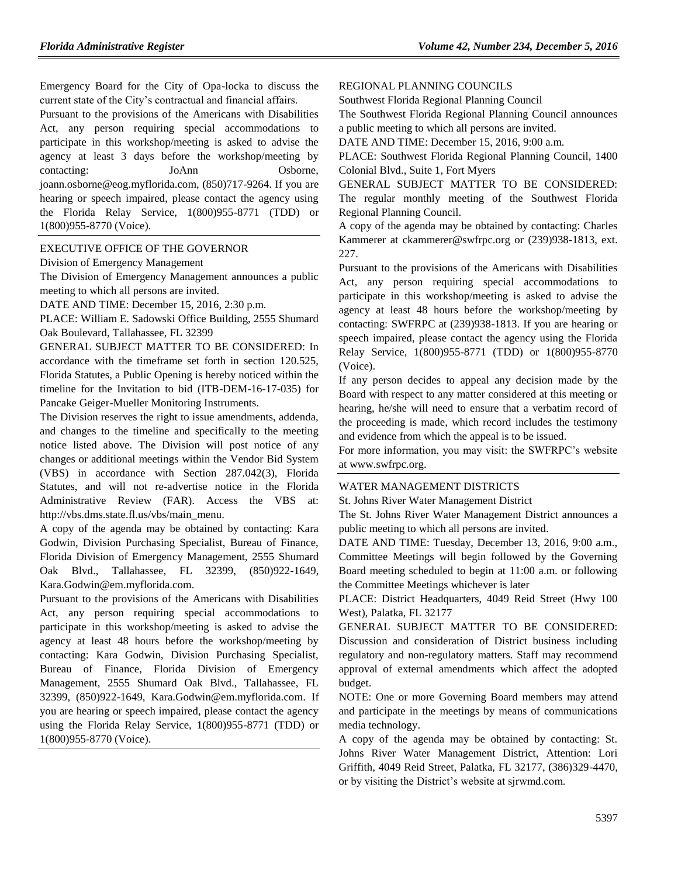Emergency Board for the City of Opa-locka to discuss the current state of the City's contractual and financial affairs.

Pursuant to the provisions of the Americans with Disabilities Act, any person requiring special accommodations to participate in this workshop/meeting is asked to advise the agency at least 3 days before the workshop/meeting by contacting: JoAnn Osborne, [joann.osborne@eog.myflorida.com,](mailto:joann.osborne@eog.myflorida.com) (850)717-9264. If you are hearing or speech impaired, please contact the agency using the Florida Relay Service, 1(800)955-8771 (TDD) or 1(800)955-8770 (Voice).

### [EXECUTIVE OFFICE OF THE GOVERNOR](https://www.flrules.org/gateway/department.asp?id=27)

[Division of Emergency Management](https://www.flrules.org/gateway/organization.asp?id=1072)

The Division of Emergency Management announces a public meeting to which all persons are invited.

DATE AND TIME: December 15, 2016, 2:30 p.m.

PLACE: William E. Sadowski Office Building, 2555 Shumard Oak Boulevard, Tallahassee, FL 32399

GENERAL SUBJECT MATTER TO BE CONSIDERED: In accordance with the timeframe set forth in section 120.525, Florida Statutes, a Public Opening is hereby noticed within the timeline for the Invitation to bid (ITB-DEM-16-17-035) for Pancake Geiger-Mueller Monitoring Instruments.

The Division reserves the right to issue amendments, addenda, and changes to the timeline and specifically to the meeting notice listed above. The Division will post notice of any changes or additional meetings within the Vendor Bid System (VBS) in accordance with Section 287.042(3), Florida Statutes, and will not re-advertise notice in the Florida Administrative Review (FAR). Access the VBS at: [http://vbs.dms.state.fl.us/vbs/main\\_menu.](http://vbs.dms.state.fl.us/vbs/main_menu)

A copy of the agenda may be obtained by contacting: Kara Godwin, Division Purchasing Specialist, Bureau of Finance, Florida Division of Emergency Management, 2555 Shumard Oak Blvd., Tallahassee, FL 32399, (850)922-1649, [Kara.Godwin@em.myflorida.com.](mailto:Kara.Godwin@em.myflorida.com)

Pursuant to the provisions of the Americans with Disabilities Act, any person requiring special accommodations to participate in this workshop/meeting is asked to advise the agency at least 48 hours before the workshop/meeting by contacting: Kara Godwin, Division Purchasing Specialist, Bureau of Finance, Florida Division of Emergency Management, 2555 Shumard Oak Blvd., Tallahassee, FL 32399, (850)922-1649, [Kara.Godwin@em.myflorida.com.](mailto:Kara.Godwin@em.myflorida.com) If you are hearing or speech impaired, please contact the agency using the Florida Relay Service, 1(800)955-8771 (TDD) or 1(800)955-8770 (Voice).

[REGIONAL PLANNING COUNCILS](https://www.flrules.org/gateway/department.asp?id=29)

[Southwest Florida Regional Planning Council](https://www.flrules.org/gateway/organization.asp?id=65)

The Southwest Florida Regional Planning Council announces a public meeting to which all persons are invited.

DATE AND TIME: December 15, 2016, 9:00 a.m.

PLACE: Southwest Florida Regional Planning Council, 1400 Colonial Blvd., Suite 1, Fort Myers

GENERAL SUBJECT MATTER TO BE CONSIDERED: The regular monthly meeting of the Southwest Florida Regional Planning Council.

A copy of the agenda may be obtained by contacting: Charles Kammerer at [ckammerer@swfrpc.org](mailto:ckammerer@swfrpc.org) or (239)938-1813, ext. 227.

Pursuant to the provisions of the Americans with Disabilities Act, any person requiring special accommodations to participate in this workshop/meeting is asked to advise the agency at least 48 hours before the workshop/meeting by contacting: SWFRPC at (239)938-1813. If you are hearing or speech impaired, please contact the agency using the Florida Relay Service, 1(800)955-8771 (TDD) or 1(800)955-8770 (Voice).

If any person decides to appeal any decision made by the Board with respect to any matter considered at this meeting or hearing, he/she will need to ensure that a verbatim record of the proceeding is made, which record includes the testimony and evidence from which the appeal is to be issued.

For more information, you may visit: the SWFRPC's website a[t www.swfrpc.org.](http://www.swfrpc.org/)

### [WATER MANAGEMENT DISTRICTS](https://www.flrules.org/gateway/department.asp?id=40)

[St. Johns River Water Management District](https://www.flrules.org/gateway/organization.asp?id=122)

The St. Johns River Water Management District announces a public meeting to which all persons are invited.

DATE AND TIME: Tuesday, December 13, 2016, 9:00 a.m., Committee Meetings will begin followed by the Governing Board meeting scheduled to begin at 11:00 a.m. or following the Committee Meetings whichever is later

PLACE: District Headquarters, 4049 Reid Street (Hwy 100 West), Palatka, FL 32177

GENERAL SUBJECT MATTER TO BE CONSIDERED: Discussion and consideration of District business including regulatory and non-regulatory matters. Staff may recommend approval of external amendments which affect the adopted budget.

NOTE: One or more Governing Board members may attend and participate in the meetings by means of communications media technology.

A copy of the agenda may be obtained by contacting: St. Johns River Water Management District, Attention: Lori Griffith, 4049 Reid Street, Palatka, FL 32177, (386)329-4470, or by visiting the District's website at sjrwmd.com.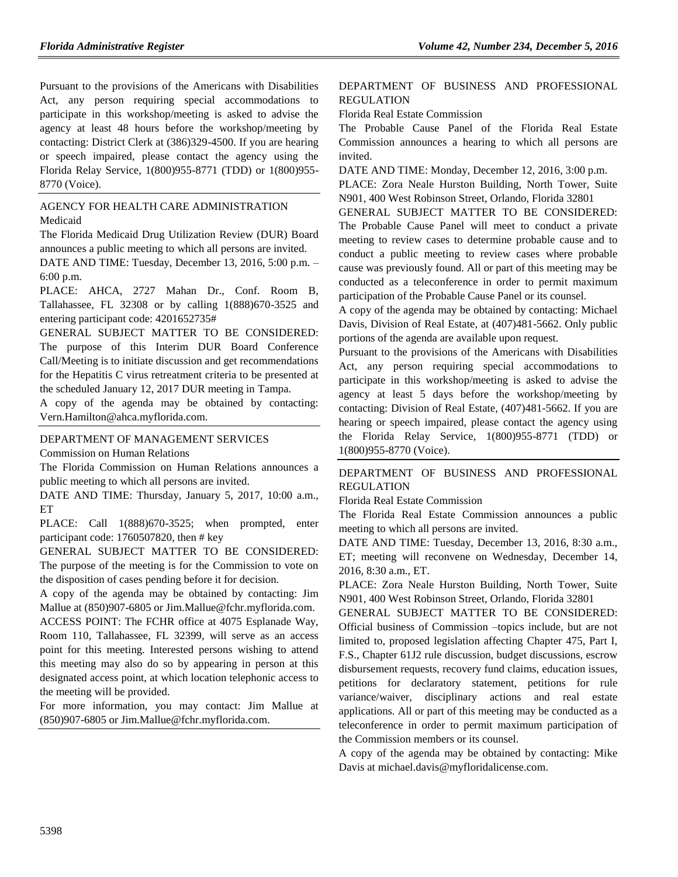Pursuant to the provisions of the Americans with Disabilities Act, any person requiring special accommodations to participate in this workshop/meeting is asked to advise the agency at least 48 hours before the workshop/meeting by contacting: District Clerk at (386)329-4500. If you are hearing or speech impaired, please contact the agency using the Florida Relay Service, 1(800)955-8771 (TDD) or 1(800)955- 8770 (Voice).

#### [AGENCY FOR HEALTH CARE ADMINISTRATION](https://www.flrules.org/gateway/department.asp?id=59) [Medicaid](https://www.flrules.org/gateway/organization.asp?id=192)

The Florida Medicaid Drug Utilization Review (DUR) Board announces a public meeting to which all persons are invited.

DATE AND TIME: Tuesday, December 13, 2016, 5:00 p.m. – 6:00 p.m.

PLACE: AHCA, 2727 Mahan Dr., Conf. Room B, Tallahassee, FL 32308 or by calling 1(888)670-3525 and entering participant code: 4201652735#

GENERAL SUBJECT MATTER TO BE CONSIDERED: The purpose of this Interim DUR Board Conference Call/Meeting is to initiate discussion and get recommendations for the Hepatitis C virus retreatment criteria to be presented at the scheduled January 12, 2017 DUR meeting in Tampa.

A copy of the agenda may be obtained by contacting: [Vern.Hamilton@ahca.myflorida.com.](mailto:Vern.Hamilton@ahca.myflorida.com)

#### [DEPARTMENT OF MANAGEMENT SERVICES](https://www.flrules.org/gateway/department.asp?id=60) [Commission on Human Relations](https://www.flrules.org/gateway/organization.asp?id=245)

The Florida Commission on Human Relations announces a

public meeting to which all persons are invited. DATE AND TIME: Thursday, January 5, 2017, 10:00 a.m.,

ET

PLACE: Call  $1(888)670-3525$ ; when prompted, enter participant code: 1760507820, then # key

GENERAL SUBJECT MATTER TO BE CONSIDERED: The purpose of the meeting is for the Commission to vote on the disposition of cases pending before it for decision.

A copy of the agenda may be obtained by contacting: Jim Mallue at (850)907-6805 or [Jim.Mallue@fchr.myflorida.com.](mailto:Jim.Mallue@fchr.myflorida.com)

ACCESS POINT: The FCHR office at 4075 Esplanade Way, Room 110, Tallahassee, FL 32399, will serve as an access point for this meeting. Interested persons wishing to attend this meeting may also do so by appearing in person at this designated access point, at which location telephonic access to the meeting will be provided.

For more information, you may contact: Jim Mallue at (850)907-6805 or [Jim.Mallue@fchr.myflorida.com.](mailto:Jim.Mallue@fchr.myflorida.com)

### [DEPARTMENT OF BUSINESS AND PROFESSIONAL](https://www.flrules.org/gateway/department.asp?id=61)  [REGULATION](https://www.flrules.org/gateway/department.asp?id=61)

[Florida Real Estate Commission](https://www.flrules.org/gateway/organization.asp?id=283)

The Probable Cause Panel of the Florida Real Estate Commission announces a hearing to which all persons are invited.

DATE AND TIME: Monday, December 12, 2016, 3:00 p.m.

PLACE: Zora Neale Hurston Building, North Tower, Suite N901, 400 West Robinson Street, Orlando, Florida 32801

GENERAL SUBJECT MATTER TO BE CONSIDERED:

The Probable Cause Panel will meet to conduct a private meeting to review cases to determine probable cause and to conduct a public meeting to review cases where probable cause was previously found. All or part of this meeting may be conducted as a teleconference in order to permit maximum participation of the Probable Cause Panel or its counsel.

A copy of the agenda may be obtained by contacting: Michael Davis, Division of Real Estate, at (407)481-5662. Only public portions of the agenda are available upon request.

Pursuant to the provisions of the Americans with Disabilities Act, any person requiring special accommodations to participate in this workshop/meeting is asked to advise the agency at least 5 days before the workshop/meeting by contacting: Division of Real Estate, (407)481-5662. If you are hearing or speech impaired, please contact the agency using the Florida Relay Service, 1(800)955-8771 (TDD) or 1(800)955-8770 (Voice).

### [DEPARTMENT OF BUSINESS AND PROFESSIONAL](https://www.flrules.org/gateway/department.asp?id=61)  [REGULATION](https://www.flrules.org/gateway/department.asp?id=61)

[Florida Real Estate Commission](https://www.flrules.org/gateway/organization.asp?id=283)

The Florida Real Estate Commission announces a public meeting to which all persons are invited.

DATE AND TIME: Tuesday, December 13, 2016, 8:30 a.m., ET; meeting will reconvene on Wednesday, December 14, 2016, 8:30 a.m., ET.

PLACE: Zora Neale Hurston Building, North Tower, Suite N901, 400 West Robinson Street, Orlando, Florida 32801

GENERAL SUBJECT MATTER TO BE CONSIDERED: Official business of Commission –topics include, but are not limited to, proposed legislation affecting Chapter 475, Part I, F.S., Chapter 61J2 rule discussion, budget discussions, escrow disbursement requests, recovery fund claims, education issues, petitions for declaratory statement, petitions for rule variance/waiver, disciplinary actions and real estate applications. All or part of this meeting may be conducted as a teleconference in order to permit maximum participation of the Commission members or its counsel.

A copy of the agenda may be obtained by contacting: Mike Davis at [michael.davis@myfloridalicense.com.](mailto:michael.davis@myfloridalicense.com)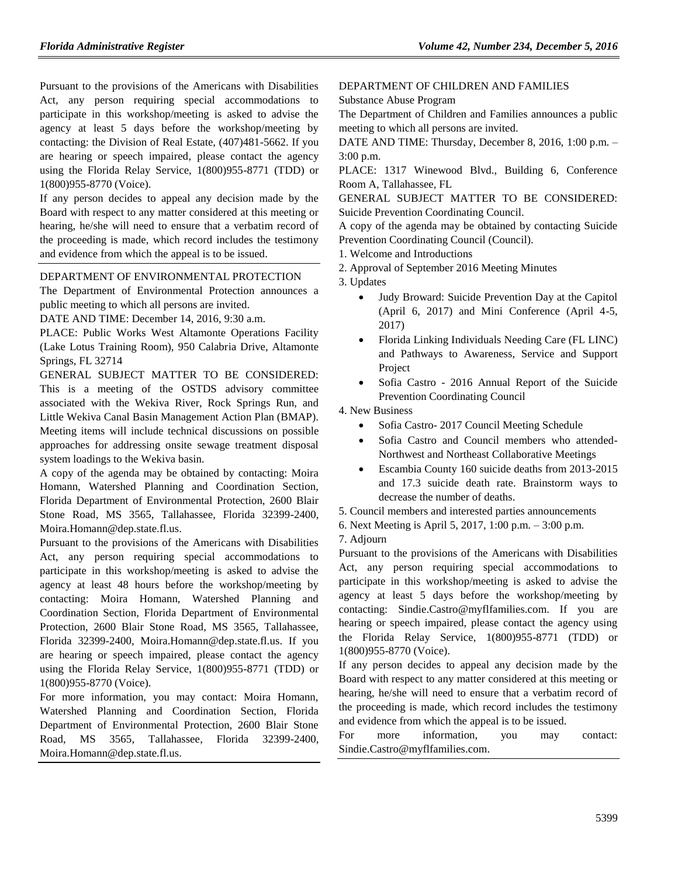Pursuant to the provisions of the Americans with Disabilities Act, any person requiring special accommodations to participate in this workshop/meeting is asked to advise the agency at least 5 days before the workshop/meeting by contacting: the Division of Real Estate, (407)481-5662. If you are hearing or speech impaired, please contact the agency using the Florida Relay Service, 1(800)955-8771 (TDD) or 1(800)955-8770 (Voice).

If any person decides to appeal any decision made by the Board with respect to any matter considered at this meeting or hearing, he/she will need to ensure that a verbatim record of the proceeding is made, which record includes the testimony and evidence from which the appeal is to be issued.

### [DEPARTMENT OF ENVIRONMENTAL PROTECTION](https://www.flrules.org/gateway/department.asp?id=62)

The Department of Environmental Protection announces a public meeting to which all persons are invited.

DATE AND TIME: December 14, 2016, 9:30 a.m.

PLACE: Public Works West Altamonte Operations Facility (Lake Lotus Training Room), 950 Calabria Drive, Altamonte Springs, FL 32714

GENERAL SUBJECT MATTER TO BE CONSIDERED: This is a meeting of the OSTDS advisory committee associated with the Wekiva River, Rock Springs Run, and Little Wekiva Canal Basin Management Action Plan (BMAP). Meeting items will include technical discussions on possible approaches for addressing onsite sewage treatment disposal system loadings to the Wekiva basin.

A copy of the agenda may be obtained by contacting: Moira Homann, Watershed Planning and Coordination Section, Florida Department of Environmental Protection, 2600 Blair Stone Road, MS 3565, Tallahassee, Florida 32399-2400, [Moira.Homann@dep.state.fl.us.](mailto:Moira.Homann@dep.state.fl.us)

Pursuant to the provisions of the Americans with Disabilities Act, any person requiring special accommodations to participate in this workshop/meeting is asked to advise the agency at least 48 hours before the workshop/meeting by contacting: Moira Homann, Watershed Planning and Coordination Section, Florida Department of Environmental Protection, 2600 Blair Stone Road, MS 3565, Tallahassee, Florida 32399-2400, [Moira.Homann@dep.state.fl.us.](mailto:Moira.Homann@dep.state.fl.us) If you are hearing or speech impaired, please contact the agency using the Florida Relay Service, 1(800)955-8771 (TDD) or 1(800)955-8770 (Voice).

For more information, you may contact: Moira Homann, Watershed Planning and Coordination Section, Florida Department of Environmental Protection, 2600 Blair Stone Road, MS 3565, Tallahassee, Florida 32399-2400, [Moira.Homann@dep.state.fl.us.](mailto:Moira.Homann@dep.state.fl.us)

[DEPARTMENT OF CHILDREN AND FAMILIES](https://www.flrules.org/gateway/department.asp?id=65)

[Substance Abuse Program](https://www.flrules.org/gateway/organization.asp?id=343)

The Department of Children and Families announces a public meeting to which all persons are invited.

DATE AND TIME: Thursday, December 8, 2016, 1:00 p.m. – 3:00 p.m.

PLACE: 1317 Winewood Blvd., Building 6, Conference Room A, Tallahassee, FL

GENERAL SUBJECT MATTER TO BE CONSIDERED: Suicide Prevention Coordinating Council.

A copy of the agenda may be obtained by contacting Suicide Prevention Coordinating Council (Council).

1. Welcome and Introductions

2. Approval of September 2016 Meeting Minutes

3. Updates

- Judy Broward: Suicide Prevention Day at the Capitol (April 6, 2017) and Mini Conference (April 4-5, 2017)
- Florida Linking Individuals Needing Care (FL LINC) and Pathways to Awareness, Service and Support Project
- Sofia Castro 2016 Annual Report of the Suicide Prevention Coordinating Council

4. New Business

- Sofia Castro- 2017 Council Meeting Schedule
- Sofia Castro and Council members who attended-Northwest and Northeast Collaborative Meetings
- Escambia County 160 suicide deaths from 2013-2015 and 17.3 suicide death rate. Brainstorm ways to decrease the number of deaths.
- 5. Council members and interested parties announcements
- 6. Next Meeting is April 5, 2017, 1:00 p.m. 3:00 p.m.
- 7. Adjourn

Pursuant to the provisions of the Americans with Disabilities Act, any person requiring special accommodations to participate in this workshop/meeting is asked to advise the agency at least 5 days before the workshop/meeting by contacting: [Sindie.Castro@myflfamilies.com.](mailto:Sindie.Castro@myflfamilies.com) If you are hearing or speech impaired, please contact the agency using the Florida Relay Service, 1(800)955-8771 (TDD) or 1(800)955-8770 (Voice).

If any person decides to appeal any decision made by the Board with respect to any matter considered at this meeting or hearing, he/she will need to ensure that a verbatim record of the proceeding is made, which record includes the testimony and evidence from which the appeal is to be issued.

For more information, you may contact: [Sindie.Castro@myflfamilies.com.](mailto:Sindie.Castro@myflfamilies.com)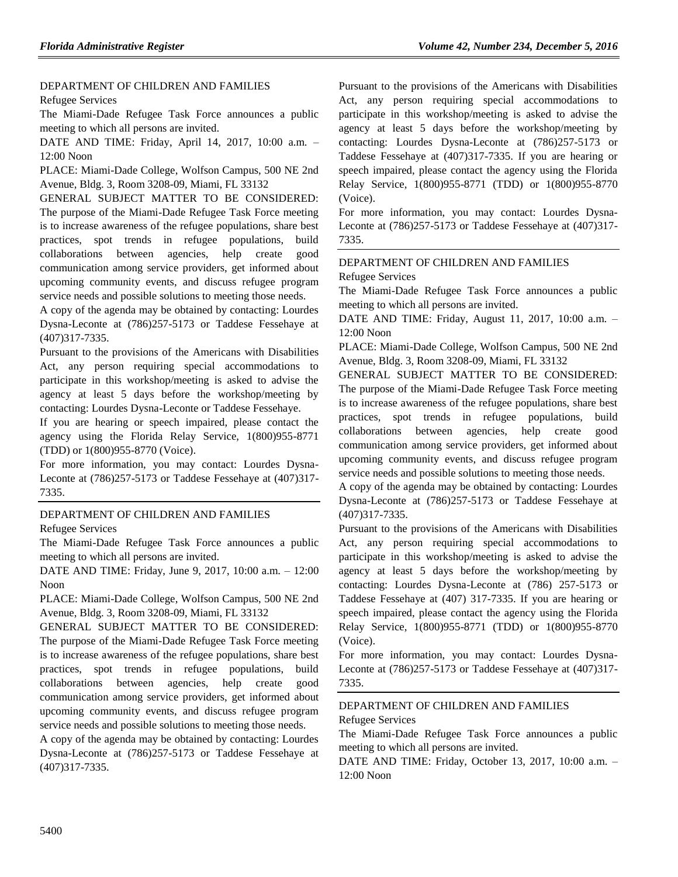#### [DEPARTMENT OF CHILDREN AND FAMILIES](https://www.flrules.org/gateway/department.asp?id=65) [Refugee Services](https://www.flrules.org/gateway/organization.asp?id=528)

The Miami-Dade Refugee Task Force announces a public meeting to which all persons are invited.

DATE AND TIME: Friday, April 14, 2017, 10:00 a.m. – 12:00 Noon

PLACE: Miami-Dade College, Wolfson Campus, 500 NE 2nd Avenue, Bldg. 3, Room 3208-09, Miami, FL 33132

GENERAL SUBJECT MATTER TO BE CONSIDERED: The purpose of the Miami-Dade Refugee Task Force meeting is to increase awareness of the refugee populations, share best practices, spot trends in refugee populations, build collaborations between agencies, help create good communication among service providers, get informed about upcoming community events, and discuss refugee program service needs and possible solutions to meeting those needs.

A copy of the agenda may be obtained by contacting: Lourdes Dysna-Leconte at (786)257-5173 or Taddese Fessehaye at (407)317-7335.

Pursuant to the provisions of the Americans with Disabilities Act, any person requiring special accommodations to participate in this workshop/meeting is asked to advise the agency at least 5 days before the workshop/meeting by contacting: Lourdes Dysna-Leconte or Taddese Fessehaye.

If you are hearing or speech impaired, please contact the agency using the Florida Relay Service, 1(800)955-8771 (TDD) or 1(800)955-8770 (Voice).

For more information, you may contact: Lourdes Dysna-Leconte at (786)257-5173 or Taddese Fessehaye at (407)317- 7335.

### [DEPARTMENT OF CHILDREN AND FAMILIES](https://www.flrules.org/gateway/department.asp?id=65)

[Refugee Services](https://www.flrules.org/gateway/organization.asp?id=528)

The Miami-Dade Refugee Task Force announces a public meeting to which all persons are invited.

DATE AND TIME: Friday, June 9, 2017, 10:00 a.m. – 12:00 Noon

PLACE: Miami-Dade College, Wolfson Campus, 500 NE 2nd Avenue, Bldg. 3, Room 3208-09, Miami, FL 33132

GENERAL SUBJECT MATTER TO BE CONSIDERED: The purpose of the Miami-Dade Refugee Task Force meeting is to increase awareness of the refugee populations, share best practices, spot trends in refugee populations, build collaborations between agencies, help create good communication among service providers, get informed about upcoming community events, and discuss refugee program service needs and possible solutions to meeting those needs.

A copy of the agenda may be obtained by contacting: Lourdes Dysna-Leconte at (786)257-5173 or Taddese Fessehaye at (407)317-7335.

Pursuant to the provisions of the Americans with Disabilities Act, any person requiring special accommodations to participate in this workshop/meeting is asked to advise the agency at least 5 days before the workshop/meeting by contacting: Lourdes Dysna-Leconte at (786)257-5173 or Taddese Fessehaye at (407)317-7335. If you are hearing or speech impaired, please contact the agency using the Florida Relay Service, 1(800)955-8771 (TDD) or 1(800)955-8770 (Voice).

For more information, you may contact: Lourdes Dysna-Leconte at (786)257-5173 or Taddese Fessehaye at (407)317- 7335.

#### [DEPARTMENT OF CHILDREN AND FAMILIES](https://www.flrules.org/gateway/department.asp?id=65) [Refugee Services](https://www.flrules.org/gateway/organization.asp?id=528)

The Miami-Dade Refugee Task Force announces a public meeting to which all persons are invited.

DATE AND TIME: Friday, August 11, 2017, 10:00 a.m. – 12:00 Noon

PLACE: Miami-Dade College, Wolfson Campus, 500 NE 2nd Avenue, Bldg. 3, Room 3208-09, Miami, FL 33132

GENERAL SUBJECT MATTER TO BE CONSIDERED: The purpose of the Miami-Dade Refugee Task Force meeting is to increase awareness of the refugee populations, share best practices, spot trends in refugee populations, build collaborations between agencies, help create good communication among service providers, get informed about upcoming community events, and discuss refugee program service needs and possible solutions to meeting those needs.

A copy of the agenda may be obtained by contacting: Lourdes Dysna-Leconte at (786)257-5173 or Taddese Fessehaye at (407)317-7335.

Pursuant to the provisions of the Americans with Disabilities Act, any person requiring special accommodations to participate in this workshop/meeting is asked to advise the agency at least 5 days before the workshop/meeting by contacting: Lourdes Dysna-Leconte at (786) 257-5173 or Taddese Fessehaye at (407) 317-7335. If you are hearing or speech impaired, please contact the agency using the Florida Relay Service, 1(800)955-8771 (TDD) or 1(800)955-8770 (Voice).

For more information, you may contact: Lourdes Dysna-Leconte at (786)257-5173 or Taddese Fessehaye at (407)317- 7335.

### [DEPARTMENT OF CHILDREN AND FAMILIES](https://www.flrules.org/gateway/department.asp?id=65) [Refugee Services](https://www.flrules.org/gateway/organization.asp?id=528)

The Miami-Dade Refugee Task Force announces a public meeting to which all persons are invited.

DATE AND TIME: Friday, October 13, 2017, 10:00 a.m. – 12:00 Noon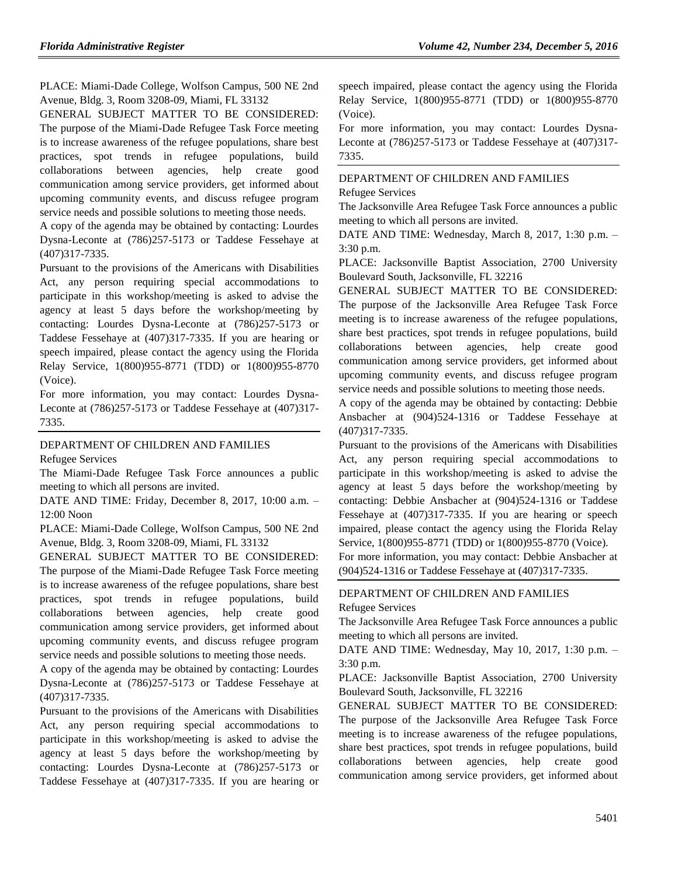PLACE: Miami-Dade College, Wolfson Campus, 500 NE 2nd Avenue, Bldg. 3, Room 3208-09, Miami, FL 33132

GENERAL SUBJECT MATTER TO BE CONSIDERED: The purpose of the Miami-Dade Refugee Task Force meeting is to increase awareness of the refugee populations, share best practices, spot trends in refugee populations, build collaborations between agencies, help create good communication among service providers, get informed about upcoming community events, and discuss refugee program service needs and possible solutions to meeting those needs.

A copy of the agenda may be obtained by contacting: Lourdes Dysna-Leconte at (786)257-5173 or Taddese Fessehaye at (407)317-7335.

Pursuant to the provisions of the Americans with Disabilities Act, any person requiring special accommodations to participate in this workshop/meeting is asked to advise the agency at least 5 days before the workshop/meeting by contacting: Lourdes Dysna-Leconte at (786)257-5173 or Taddese Fessehaye at (407)317-7335. If you are hearing or speech impaired, please contact the agency using the Florida Relay Service, 1(800)955-8771 (TDD) or 1(800)955-8770 (Voice).

For more information, you may contact: Lourdes Dysna-Leconte at (786)257-5173 or Taddese Fessehaye at (407)317- 7335.

[DEPARTMENT OF CHILDREN AND FAMILIES](https://www.flrules.org/gateway/department.asp?id=65)

[Refugee Services](https://www.flrules.org/gateway/organization.asp?id=528)

The Miami-Dade Refugee Task Force announces a public meeting to which all persons are invited.

DATE AND TIME: Friday, December 8, 2017, 10:00 a.m. – 12:00 Noon

PLACE: Miami-Dade College, Wolfson Campus, 500 NE 2nd Avenue, Bldg. 3, Room 3208-09, Miami, FL 33132

GENERAL SUBJECT MATTER TO BE CONSIDERED: The purpose of the Miami-Dade Refugee Task Force meeting is to increase awareness of the refugee populations, share best practices, spot trends in refugee populations, build collaborations between agencies, help create good communication among service providers, get informed about upcoming community events, and discuss refugee program service needs and possible solutions to meeting those needs.

A copy of the agenda may be obtained by contacting: Lourdes Dysna-Leconte at (786)257-5173 or Taddese Fessehaye at (407)317-7335.

Pursuant to the provisions of the Americans with Disabilities Act, any person requiring special accommodations to participate in this workshop/meeting is asked to advise the agency at least 5 days before the workshop/meeting by contacting: Lourdes Dysna-Leconte at (786)257-5173 or Taddese Fessehaye at (407)317-7335. If you are hearing or speech impaired, please contact the agency using the Florida Relay Service, 1(800)955-8771 (TDD) or 1(800)955-8770 (Voice).

For more information, you may contact: Lourdes Dysna-Leconte at (786)257-5173 or Taddese Fessehaye at (407)317- 7335.

### [DEPARTMENT OF CHILDREN AND FAMILIES](https://www.flrules.org/gateway/department.asp?id=65) [Refugee Services](https://www.flrules.org/gateway/organization.asp?id=528)

The Jacksonville Area Refugee Task Force announces a public meeting to which all persons are invited.

DATE AND TIME: Wednesday, March 8, 2017, 1:30 p.m. – 3:30 p.m.

PLACE: Jacksonville Baptist Association, 2700 University Boulevard South, Jacksonville, FL 32216

GENERAL SUBJECT MATTER TO BE CONSIDERED: The purpose of the Jacksonville Area Refugee Task Force meeting is to increase awareness of the refugee populations, share best practices, spot trends in refugee populations, build collaborations between agencies, help create good communication among service providers, get informed about upcoming community events, and discuss refugee program service needs and possible solutions to meeting those needs.

A copy of the agenda may be obtained by contacting: Debbie Ansbacher at (904)524-1316 or Taddese Fessehaye at (407)317-7335.

Pursuant to the provisions of the Americans with Disabilities Act, any person requiring special accommodations to participate in this workshop/meeting is asked to advise the agency at least 5 days before the workshop/meeting by contacting: Debbie Ansbacher at (904)524-1316 or Taddese Fessehaye at (407)317-7335. If you are hearing or speech impaired, please contact the agency using the Florida Relay Service, 1(800)955-8771 (TDD) or 1(800)955-8770 (Voice).

For more information, you may contact: Debbie Ansbacher at (904)524-1316 or Taddese Fessehaye at (407)317-7335.

# [DEPARTMENT OF CHILDREN AND FAMILIES](https://www.flrules.org/gateway/department.asp?id=65)

[Refugee Services](https://www.flrules.org/gateway/organization.asp?id=528)

The Jacksonville Area Refugee Task Force announces a public meeting to which all persons are invited.

DATE AND TIME: Wednesday, May 10, 2017, 1:30 p.m. – 3:30 p.m.

PLACE: Jacksonville Baptist Association, 2700 University Boulevard South, Jacksonville, FL 32216

GENERAL SUBJECT MATTER TO BE CONSIDERED: The purpose of the Jacksonville Area Refugee Task Force meeting is to increase awareness of the refugee populations, share best practices, spot trends in refugee populations, build collaborations between agencies, help create good communication among service providers, get informed about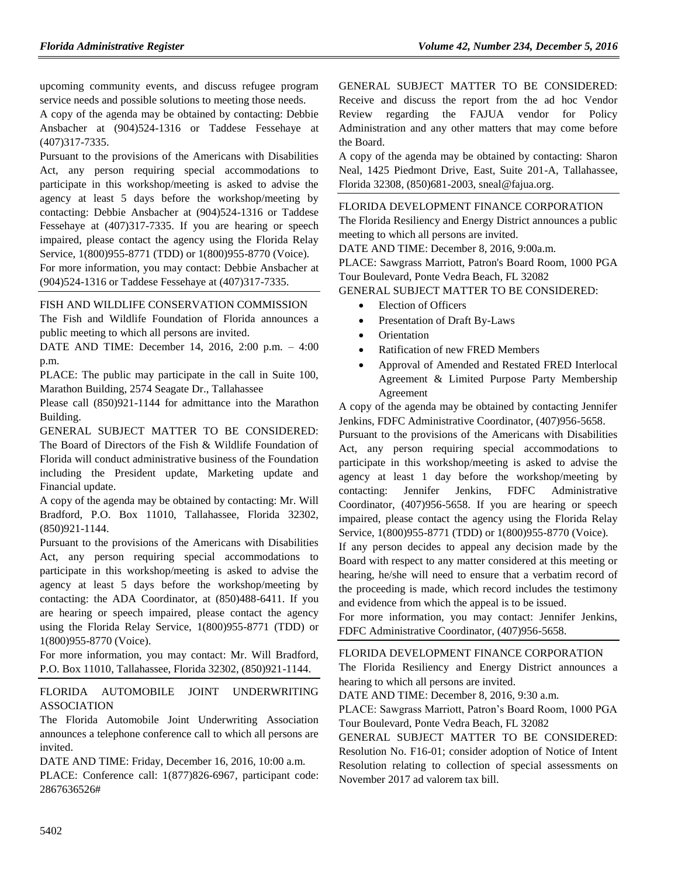upcoming community events, and discuss refugee program service needs and possible solutions to meeting those needs.

A copy of the agenda may be obtained by contacting: Debbie Ansbacher at (904)524-1316 or Taddese Fessehaye at (407)317-7335.

Pursuant to the provisions of the Americans with Disabilities Act, any person requiring special accommodations to participate in this workshop/meeting is asked to advise the agency at least 5 days before the workshop/meeting by contacting: Debbie Ansbacher at (904)524-1316 or Taddese Fessehaye at (407)317-7335. If you are hearing or speech impaired, please contact the agency using the Florida Relay Service, 1(800)955-8771 (TDD) or 1(800)955-8770 (Voice).

For more information, you may contact: Debbie Ansbacher at (904)524-1316 or Taddese Fessehaye at (407)317-7335.

### [FISH AND WILDLIFE CONSERVATION COMMISSION](https://www.flrules.org/gateway/department.asp?id=68)

The Fish and Wildlife Foundation of Florida announces a public meeting to which all persons are invited.

DATE AND TIME: December 14, 2016, 2:00 p.m. – 4:00 p.m.

PLACE: The public may participate in the call in Suite 100, Marathon Building, 2574 Seagate Dr., Tallahassee

Please call (850)921-1144 for admittance into the Marathon Building.

GENERAL SUBJECT MATTER TO BE CONSIDERED: The Board of Directors of the Fish & Wildlife Foundation of Florida will conduct administrative business of the Foundation including the President update, Marketing update and Financial update.

A copy of the agenda may be obtained by contacting: Mr. Will Bradford, P.O. Box 11010, Tallahassee, Florida 32302, (850)921-1144.

Pursuant to the provisions of the Americans with Disabilities Act, any person requiring special accommodations to participate in this workshop/meeting is asked to advise the agency at least 5 days before the workshop/meeting by contacting: the ADA Coordinator, at (850)488-6411. If you are hearing or speech impaired, please contact the agency using the Florida Relay Service, 1(800)955-8771 (TDD) or 1(800)955-8770 (Voice).

For more information, you may contact: Mr. Will Bradford, P.O. Box 11010, Tallahassee, Florida 32302, (850)921-1144.

### [FLORIDA AUTOMOBILE JOINT UNDERWRITING](https://www.flrules.org/gateway/organization.asp?id=570)  [ASSOCIATION](https://www.flrules.org/gateway/organization.asp?id=570)

The Florida Automobile Joint Underwriting Association announces a telephone conference call to which all persons are invited.

DATE AND TIME: Friday, December 16, 2016, 10:00 a.m. PLACE: Conference call: 1(877)826-6967, participant code: 2867636526#

GENERAL SUBJECT MATTER TO BE CONSIDERED: Receive and discuss the report from the ad hoc Vendor Review regarding the FAJUA vendor for Policy Administration and any other matters that may come before the Board.

A copy of the agenda may be obtained by contacting: Sharon Neal, 1425 Piedmont Drive, East, Suite 201-A, Tallahassee, Florida 32308, (850)681-2003, [sneal@fajua.org.](mailto:sneal@fajua.org)

### [FLORIDA DEVELOPMENT FINANCE CORPORATION](https://www.flrules.org/gateway/organization.asp?id=941)

The Florida Resiliency and Energy District announces a public meeting to which all persons are invited.

DATE AND TIME: December 8, 2016, 9:00a.m.

PLACE: Sawgrass Marriott, Patron's Board Room, 1000 PGA Tour Boulevard, Ponte Vedra Beach, FL 32082

GENERAL SUBJECT MATTER TO BE CONSIDERED:

- Election of Officers
- Presentation of Draft By-Laws
- **•** Orientation
- Ratification of new FRED Members
- Approval of Amended and Restated FRED Interlocal Agreement & Limited Purpose Party Membership Agreement

A copy of the agenda may be obtained by contacting Jennifer Jenkins, FDFC Administrative Coordinator, (407)956-5658.

Pursuant to the provisions of the Americans with Disabilities Act, any person requiring special accommodations to participate in this workshop/meeting is asked to advise the agency at least 1 day before the workshop/meeting by contacting: Jennifer Jenkins, FDFC Administrative Coordinator, (407)956-5658. If you are hearing or speech impaired, please contact the agency using the Florida Relay Service, 1(800)955-8771 (TDD) or 1(800)955-8770 (Voice).

If any person decides to appeal any decision made by the Board with respect to any matter considered at this meeting or hearing, he/she will need to ensure that a verbatim record of the proceeding is made, which record includes the testimony and evidence from which the appeal is to be issued.

For more information, you may contact: Jennifer Jenkins, FDFC Administrative Coordinator, (407)956-5658.

### [FLORIDA DEVELOPMENT FINANCE CORPORATION](https://www.flrules.org/gateway/organization.asp?id=941)

The Florida Resiliency and Energy District announces a hearing to which all persons are invited.

DATE AND TIME: December 8, 2016, 9:30 a.m.

PLACE: Sawgrass Marriott, Patron's Board Room, 1000 PGA Tour Boulevard, Ponte Vedra Beach, FL 32082

GENERAL SUBJECT MATTER TO BE CONSIDERED: Resolution No. F16-01; consider adoption of Notice of Intent Resolution relating to collection of special assessments on November 2017 ad valorem tax bill.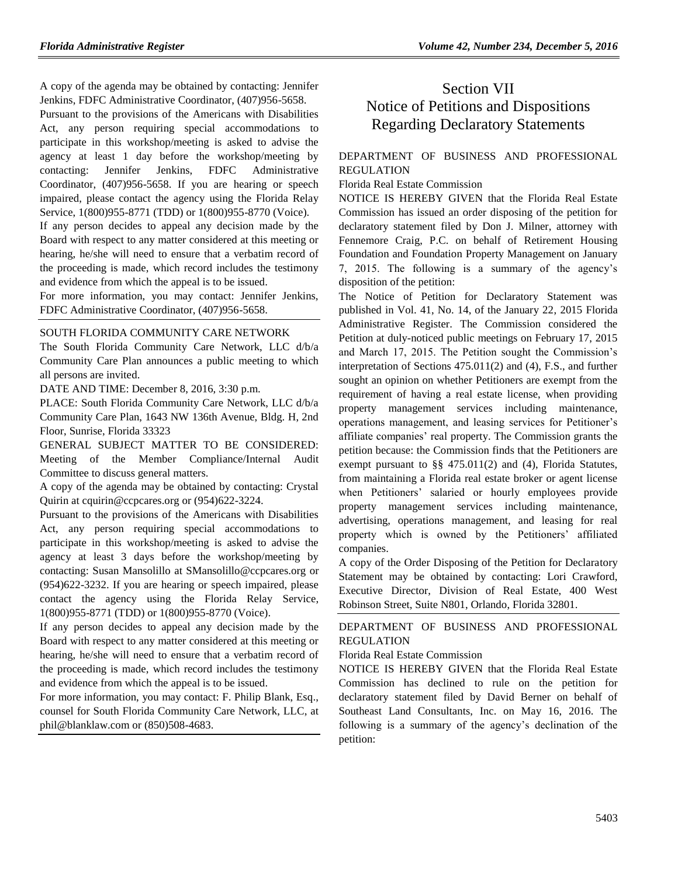A copy of the agenda may be obtained by contacting: Jennifer Jenkins, FDFC Administrative Coordinator, (407)956-5658.

Pursuant to the provisions of the Americans with Disabilities Act, any person requiring special accommodations to participate in this workshop/meeting is asked to advise the agency at least 1 day before the workshop/meeting by contacting: Jennifer Jenkins, FDFC Administrative Coordinator, (407)956-5658. If you are hearing or speech impaired, please contact the agency using the Florida Relay Service, 1(800)955-8771 (TDD) or 1(800)955-8770 (Voice).

If any person decides to appeal any decision made by the Board with respect to any matter considered at this meeting or hearing, he/she will need to ensure that a verbatim record of the proceeding is made, which record includes the testimony and evidence from which the appeal is to be issued.

For more information, you may contact: Jennifer Jenkins, FDFC Administrative Coordinator, (407)956-5658.

### [SOUTH FLORIDA COMMUNITY CARE NETWORK](https://www.flrules.org/gateway/organization.asp?id=1130)

The South Florida Community Care Network, LLC d/b/a Community Care Plan announces a public meeting to which all persons are invited.

DATE AND TIME: December 8, 2016, 3:30 p.m.

PLACE: South Florida Community Care Network, LLC d/b/a Community Care Plan, 1643 NW 136th Avenue, Bldg. H, 2nd Floor, Sunrise, Florida 33323

GENERAL SUBJECT MATTER TO BE CONSIDERED: Meeting of the Member Compliance/Internal Audit Committee to discuss general matters.

A copy of the agenda may be obtained by contacting: Crystal Quirin at [cquirin@ccpcares.org](mailto:cquirin@ccpcares.org) or (954)622-3224.

Pursuant to the provisions of the Americans with Disabilities Act, any person requiring special accommodations to participate in this workshop/meeting is asked to advise the agency at least 3 days before the workshop/meeting by contacting: Susan Mansolillo at [SMansolillo@ccpcares.org](mailto:SMansolillo@ccpcares.org) or (954)622-3232. If you are hearing or speech impaired, please contact the agency using the Florida Relay Service, 1(800)955-8771 (TDD) or 1(800)955-8770 (Voice).

If any person decides to appeal any decision made by the Board with respect to any matter considered at this meeting or hearing, he/she will need to ensure that a verbatim record of the proceeding is made, which record includes the testimony and evidence from which the appeal is to be issued.

For more information, you may contact: F. Philip Blank, Esq., counsel for South Florida Community Care Network, LLC, at [phil@blanklaw.com](mailto:phil@blanklaw.com) or (850)508-4683.

# Section VII Notice of Petitions and Dispositions Regarding Declaratory Statements

### [DEPARTMENT OF BUSINESS AND PROFESSIONAL](https://www.flrules.org/gateway/department.asp?id=61)  [REGULATION](https://www.flrules.org/gateway/department.asp?id=61)

[Florida Real Estate Commission](https://www.flrules.org/gateway/organization.asp?id=283)

NOTICE IS HEREBY GIVEN that the Florida Real Estate Commission has issued an order disposing of the petition for declaratory statement filed by Don J. Milner, attorney with Fennemore Craig, P.C. on behalf of Retirement Housing Foundation and Foundation Property Management on January 7, 2015. The following is a summary of the agency's disposition of the petition:

The Notice of Petition for Declaratory Statement was published in Vol. 41, No. 14, of the January 22, 2015 Florida Administrative Register. The Commission considered the Petition at duly-noticed public meetings on February 17, 2015 and March 17, 2015. The Petition sought the Commission's interpretation of Sections 475.011(2) and (4), F.S., and further sought an opinion on whether Petitioners are exempt from the requirement of having a real estate license, when providing property management services including maintenance, operations management, and leasing services for Petitioner's affiliate companies' real property. The Commission grants the petition because: the Commission finds that the Petitioners are exempt pursuant to §§ 475.011(2) and (4), Florida Statutes, from maintaining a Florida real estate broker or agent license when Petitioners' salaried or hourly employees provide property management services including maintenance, advertising, operations management, and leasing for real property which is owned by the Petitioners' affiliated companies.

A copy of the Order Disposing of the Petition for Declaratory Statement may be obtained by contacting: Lori Crawford, Executive Director, Division of Real Estate, 400 West Robinson Street, Suite N801, Orlando, Florida 32801.

### [DEPARTMENT OF BUSINESS AND PROFESSIONAL](https://www.flrules.org/gateway/department.asp?id=61)  [REGULATION](https://www.flrules.org/gateway/department.asp?id=61)

### [Florida Real Estate Commission](https://www.flrules.org/gateway/organization.asp?id=283)

NOTICE IS HEREBY GIVEN that the Florida Real Estate Commission has declined to rule on the petition for declaratory statement filed by David Berner on behalf of Southeast Land Consultants, Inc. on May 16, 2016. The following is a summary of the agency's declination of the petition: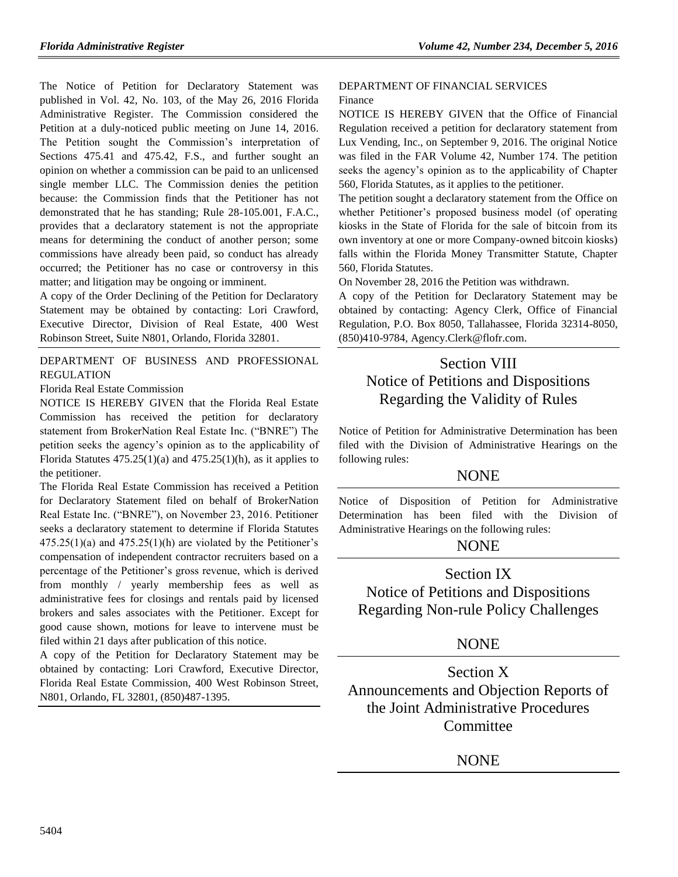The Notice of Petition for Declaratory Statement was published in Vol. 42, No. 103, of the May 26, 2016 Florida Administrative Register. The Commission considered the Petition at a duly-noticed public meeting on June 14, 2016. The Petition sought the Commission's interpretation of Sections 475.41 and 475.42, F.S., and further sought an opinion on whether a commission can be paid to an unlicensed single member LLC. The Commission denies the petition because: the Commission finds that the Petitioner has not demonstrated that he has standing; Rule 28-105.001, F.A.C., provides that a declaratory statement is not the appropriate means for determining the conduct of another person; some commissions have already been paid, so conduct has already occurred; the Petitioner has no case or controversy in this matter; and litigation may be ongoing or imminent.

A copy of the Order Declining of the Petition for Declaratory Statement may be obtained by contacting: Lori Crawford, Executive Director, Division of Real Estate, 400 West Robinson Street, Suite N801, Orlando, Florida 32801.

[DEPARTMENT OF BUSINESS AND PROFESSIONAL](https://www.flrules.org/gateway/department.asp?id=61)  [REGULATION](https://www.flrules.org/gateway/department.asp?id=61)

[Florida Real Estate Commission](https://www.flrules.org/gateway/organization.asp?id=283)

NOTICE IS HEREBY GIVEN that the Florida Real Estate Commission has received the petition for declaratory statement from BrokerNation Real Estate Inc. ("BNRE") The petition seeks the agency's opinion as to the applicability of Florida Statutes  $475.25(1)(a)$  and  $475.25(1)(h)$ , as it applies to the petitioner.

The Florida Real Estate Commission has received a Petition for Declaratory Statement filed on behalf of BrokerNation Real Estate Inc. ("BNRE"), on November 23, 2016. Petitioner seeks a declaratory statement to determine if Florida Statutes  $475.25(1)(a)$  and  $475.25(1)(h)$  are violated by the Petitioner's compensation of independent contractor recruiters based on a percentage of the Petitioner's gross revenue, which is derived from monthly / yearly membership fees as well as administrative fees for closings and rentals paid by licensed brokers and sales associates with the Petitioner. Except for good cause shown, motions for leave to intervene must be filed within 21 days after publication of this notice.

A copy of the Petition for Declaratory Statement may be obtained by contacting: Lori Crawford, Executive Director, Florida Real Estate Commission, 400 West Robinson Street, N801, Orlando, FL 32801, (850)487-1395.

#### [DEPARTMENT OF FINANCIAL SERVICES](https://www.flrules.org/gateway/department.asp?id=69) [Finance](https://www.flrules.org/gateway/organization.asp?id=524)

NOTICE IS HEREBY GIVEN that the Office of Financial Regulation received a petition for declaratory statement from Lux Vending, Inc., on September 9, 2016. The original Notice was filed in the FAR Volume 42, Number 174. The petition seeks the agency's opinion as to the applicability of Chapter 560, Florida Statutes, as it applies to the petitioner.

The petition sought a declaratory statement from the Office on whether Petitioner's proposed business model (of operating kiosks in the State of Florida for the sale of bitcoin from its own inventory at one or more Company-owned bitcoin kiosks) falls within the Florida Money Transmitter Statute, Chapter 560, Florida Statutes.

On November 28, 2016 the Petition was withdrawn.

A copy of the Petition for Declaratory Statement may be obtained by contacting: Agency Clerk, Office of Financial Regulation, P.O. Box 8050, Tallahassee, Florida 32314-8050, (850)410-9784, [Agency.Clerk@flofr.com.](mailto:Agency.Clerk@flofr.com)

# Section VIII Notice of Petitions and Dispositions Regarding the Validity of Rules

Notice of Petition for Administrative Determination has been filed with the Division of Administrative Hearings on the following rules:

### **NONE**

Notice of Disposition of Petition for Administrative Determination has been filed with the Division of Administrative Hearings on the following rules:

# **NONE**

Section IX Notice of Petitions and Dispositions Regarding Non-rule Policy Challenges

# **NONE**

Section X Announcements and Objection Reports of the Joint Administrative Procedures Committee

NONE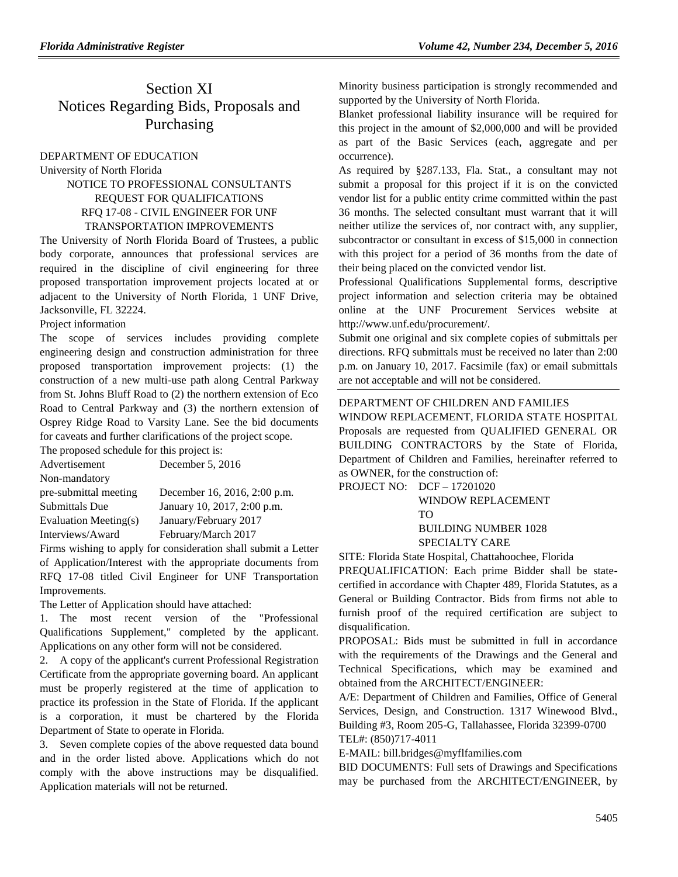# Section XI Notices Regarding Bids, Proposals and Purchasing

### [DEPARTMENT OF EDUCATION](https://www.flrules.org/gateway/department.asp?id=6)

[University of North Florida](https://www.flrules.org/gateway/organization.asp?id=207)

### NOTICE TO PROFESSIONAL CONSULTANTS REQUEST FOR QUALIFICATIONS RFQ 17-08 - CIVIL ENGINEER FOR UNF TRANSPORTATION IMPROVEMENTS

The University of North Florida Board of Trustees, a public body corporate, announces that professional services are required in the discipline of civil engineering for three proposed transportation improvement projects located at or adjacent to the University of North Florida, 1 UNF Drive, Jacksonville, FL 32224.

### Project information

The scope of services includes providing complete engineering design and construction administration for three proposed transportation improvement projects: (1) the construction of a new multi-use path along Central Parkway from St. Johns Bluff Road to (2) the northern extension of Eco Road to Central Parkway and (3) the northern extension of Osprey Ridge Road to Varsity Lane. See the bid documents for caveats and further clarifications of the project scope.

The proposed schedule for this project is:

| December 16, 2016, 2:00 p.m. |
|------------------------------|
| January 10, 2017, 2:00 p.m.  |
|                              |
|                              |
|                              |

Firms wishing to apply for consideration shall submit a Letter of Application/Interest with the appropriate documents from RFQ 17-08 titled Civil Engineer for UNF Transportation Improvements.

The Letter of Application should have attached:

1. The most recent version of the "Professional Qualifications Supplement," completed by the applicant. Applications on any other form will not be considered.

2. A copy of the applicant's current Professional Registration Certificate from the appropriate governing board. An applicant must be properly registered at the time of application to practice its profession in the State of Florida. If the applicant is a corporation, it must be chartered by the Florida Department of State to operate in Florida.

3. Seven complete copies of the above requested data bound and in the order listed above. Applications which do not comply with the above instructions may be disqualified. Application materials will not be returned.

Minority business participation is strongly recommended and supported by the University of North Florida.

Blanket professional liability insurance will be required for this project in the amount of \$2,000,000 and will be provided as part of the Basic Services (each, aggregate and per occurrence).

As required by §287.133, Fla. Stat., a consultant may not submit a proposal for this project if it is on the convicted vendor list for a public entity crime committed within the past 36 months. The selected consultant must warrant that it will neither utilize the services of, nor contract with, any supplier, subcontractor or consultant in excess of \$15,000 in connection with this project for a period of 36 months from the date of their being placed on the convicted vendor list.

Professional Qualifications Supplemental forms, descriptive project information and selection criteria may be obtained online at the UNF Procurement Services website at [http://www.unf.edu/procurement/.](http://www.unf.edu/procurement/)

Submit one original and six complete copies of submittals per directions. RFQ submittals must be received no later than 2:00 p.m. on January 10, 2017. Facsimile (fax) or email submittals are not acceptable and will not be considered.

### [DEPARTMENT OF CHILDREN AND FAMILIES](https://www.flrules.org/gateway/department.asp?id=65)

WINDOW REPLACEMENT, FLORIDA STATE HOSPITAL Proposals are requested from QUALIFIED GENERAL OR BUILDING CONTRACTORS by the State of Florida, Department of Children and Families, hereinafter referred to as OWNER, for the construction of:

PROJECT NO: DCF – 17201020 WINDOW REPLACEMENT TO BUILDING NUMBER 1028 SPECIALTY CARE

SITE: Florida State Hospital, Chattahoochee, Florida

PREQUALIFICATION: Each prime Bidder shall be statecertified in accordance with Chapter 489, Florida Statutes, as a General or Building Contractor. Bids from firms not able to furnish proof of the required certification are subject to disqualification.

PROPOSAL: Bids must be submitted in full in accordance with the requirements of the Drawings and the General and Technical Specifications, which may be examined and obtained from the ARCHITECT/ENGINEER:

A/E: Department of Children and Families, Office of General Services, Design, and Construction. 1317 Winewood Blvd., Building #3, Room 205-G, Tallahassee, Florida 32399-0700 TEL#: (850)717-4011

E-MAIL: [bill.bridges@myflfamilies.com](mailto:bill.bridges@myflfamilies.com)

BID DOCUMENTS: Full sets of Drawings and Specifications may be purchased from the ARCHITECT/ENGINEER, by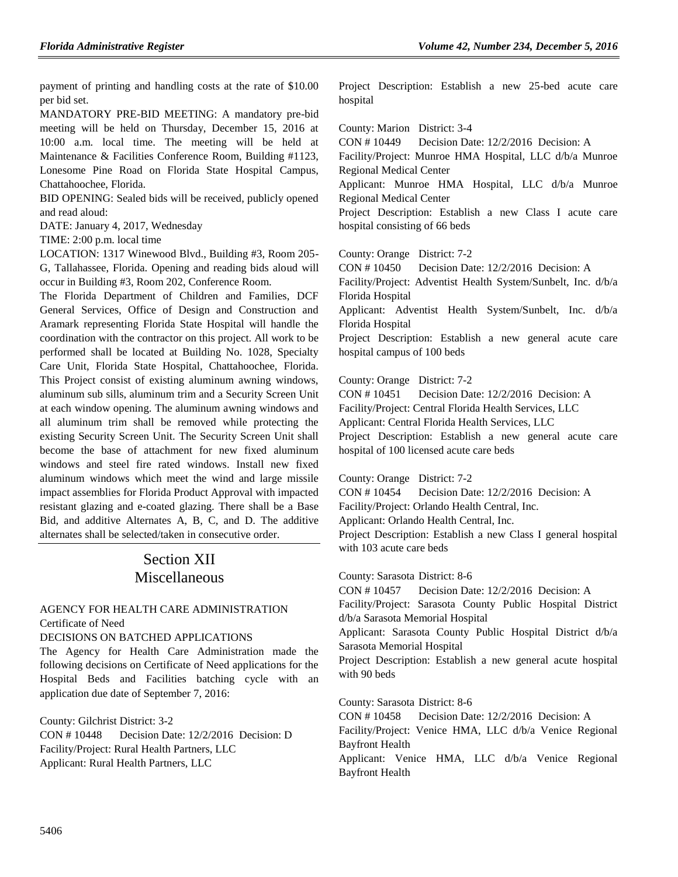payment of printing and handling costs at the rate of \$10.00 per bid set.

MANDATORY PRE-BID MEETING: A mandatory pre-bid meeting will be held on Thursday, December 15, 2016 at 10:00 a.m. local time. The meeting will be held at Maintenance & Facilities Conference Room, Building #1123, Lonesome Pine Road on Florida State Hospital Campus, Chattahoochee, Florida.

BID OPENING: Sealed bids will be received, publicly opened and read aloud:

DATE: January 4, 2017, Wednesday

TIME: 2:00 p.m. local time

LOCATION: 1317 Winewood Blvd., Building #3, Room 205- G, Tallahassee, Florida. Opening and reading bids aloud will occur in Building #3, Room 202, Conference Room.

The Florida Department of Children and Families, DCF General Services, Office of Design and Construction and Aramark representing Florida State Hospital will handle the coordination with the contractor on this project. All work to be performed shall be located at Building No. 1028, Specialty Care Unit, Florida State Hospital, Chattahoochee, Florida. This Project consist of existing aluminum awning windows, aluminum sub sills, aluminum trim and a Security Screen Unit at each window opening. The aluminum awning windows and all aluminum trim shall be removed while protecting the existing Security Screen Unit. The Security Screen Unit shall become the base of attachment for new fixed aluminum windows and steel fire rated windows. Install new fixed aluminum windows which meet the wind and large missile impact assemblies for Florida Product Approval with impacted resistant glazing and e-coated glazing. There shall be a Base Bid, and additive Alternates A, B, C, and D. The additive alternates shall be selected/taken in consecutive order.

# Section XII Miscellaneous

### [AGENCY FOR HEALTH CARE ADMINISTRATION](https://www.flrules.org/gateway/department.asp?id=59) [Certificate of Need](https://www.flrules.org/gateway/organization.asp?id=188)

DECISIONS ON BATCHED APPLICATIONS

The Agency for Health Care Administration made the following decisions on Certificate of Need applications for the Hospital Beds and Facilities batching cycle with an application due date of September 7, 2016:

County: Gilchrist District: 3-2 CON # 10448 Decision Date: 12/2/2016 Decision: D Facility/Project: Rural Health Partners, LLC Applicant: Rural Health Partners, LLC

Project Description: Establish a new 25-bed acute care hospital

County: Marion District: 3-4

CON # 10449 Decision Date: 12/2/2016 Decision: A Facility/Project: Munroe HMA Hospital, LLC d/b/a Munroe Regional Medical Center Applicant: Munroe HMA Hospital, LLC d/b/a Munroe Regional Medical Center Project Description: Establish a new Class I acute care hospital consisting of 66 beds County: Orange District: 7-2 CON # 10450 Decision Date: 12/2/2016 Decision: A Facility/Project: Adventist Health System/Sunbelt, Inc. d/b/a

Florida Hospital

Applicant: Adventist Health System/Sunbelt, Inc. d/b/a Florida Hospital

Project Description: Establish a new general acute care hospital campus of 100 beds

County: Orange District: 7-2

CON # 10451 Decision Date: 12/2/2016 Decision: A

Facility/Project: Central Florida Health Services, LLC

Applicant: Central Florida Health Services, LLC

Project Description: Establish a new general acute care hospital of 100 licensed acute care beds

County: Orange District: 7-2

CON # 10454 Decision Date: 12/2/2016 Decision: A

Facility/Project: Orlando Health Central, Inc.

Applicant: Orlando Health Central, Inc.

Project Description: Establish a new Class I general hospital with 103 acute care beds

County: Sarasota District: 8-6

CON # 10457 Decision Date: 12/2/2016 Decision: A

Facility/Project: Sarasota County Public Hospital District d/b/a Sarasota Memorial Hospital

Applicant: Sarasota County Public Hospital District d/b/a Sarasota Memorial Hospital

Project Description: Establish a new general acute hospital with 90 beds

County: Sarasota District: 8-6

CON # 10458 Decision Date: 12/2/2016 Decision: A

Facility/Project: Venice HMA, LLC d/b/a Venice Regional Bayfront Health

Applicant: Venice HMA, LLC d/b/a Venice Regional Bayfront Health